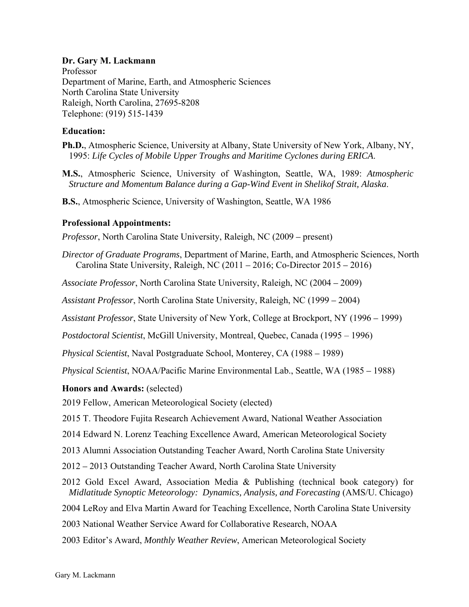# **Dr. Gary M. Lackmann**

Professor Department of Marine, Earth, and Atmospheric Sciences North Carolina State University Raleigh, North Carolina, 27695-8208 Telephone: (919) 515-1439

## **Education:**

**Ph.D.**, Atmospheric Science, University at Albany, State University of New York, Albany, NY, 1995: *Life Cycles of Mobile Upper Troughs and Maritime Cyclones during ERICA*.

**M.S.**, Atmospheric Science, University of Washington, Seattle, WA, 1989: *Atmospheric Structure and Momentum Balance during a Gap-Wind Event in Shelikof Strait, Alaska*.

**B.S.**, Atmospheric Science, University of Washington, Seattle, WA 1986

## **Professional Appointments:**

*Professor*, North Carolina State University, Raleigh, NC (2009 *–* present)

*Director of Graduate Programs*, Department of Marine, Earth, and Atmospheric Sciences, North Carolina State University, Raleigh, NC (2011 *–* 2016; Co-Director 2015 *–* 2016)

*Associate Professor*, North Carolina State University, Raleigh, NC (2004 *–* 2009)

*Assistant Professor*, North Carolina State University, Raleigh, NC (1999 *–* 2004)

*Assistant Professor*, State University of New York, College at Brockport, NY (1996 *–* 1999)

*Postdoctoral Scientist*, McGill University, Montreal, Quebec, Canada (1995 – 1996)

*Physical Scientist*, Naval Postgraduate School, Monterey, CA (1988 *–* 1989)

*Physical Scientist*, NOAA/Pacific Marine Environmental Lab., Seattle, WA (1985 *–* 1988)

#### **Honors and Awards:** (selected)

2019 Fellow, American Meteorological Society (elected)

2015 T. Theodore Fujita Research Achievement Award, National Weather Association

2014 Edward N. Lorenz Teaching Excellence Award, American Meteorological Society

2013 Alumni Association Outstanding Teacher Award, North Carolina State University

2012 *–* 2013 Outstanding Teacher Award, North Carolina State University

2012 Gold Excel Award, Association Media & Publishing (technical book category) for *Midlatitude Synoptic Meteorology: Dynamics, Analysis, and Forecasting* (AMS/U. Chicago)

2004 LeRoy and Elva Martin Award for Teaching Excellence, North Carolina State University

2003 National Weather Service Award for Collaborative Research, NOAA

2003 Editor's Award, *Monthly Weather Review*, American Meteorological Society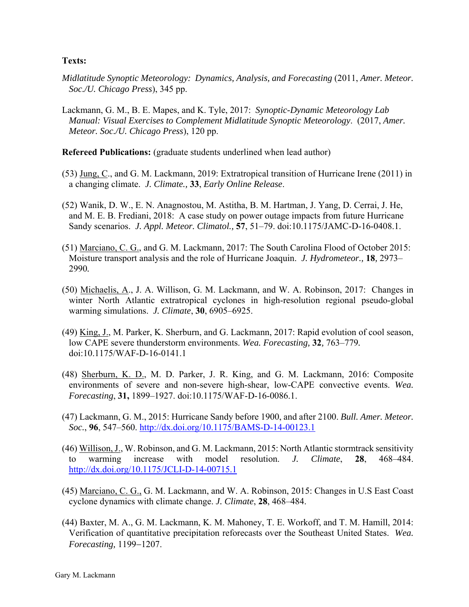## **Texts:**

- *Midlatitude Synoptic Meteorology: Dynamics, Analysis, and Forecasting (2011, Amer. Meteor. Soc./U. Chicago Press*), 345 pp.
- Lackmann, G. M., B. E. Mapes, and K. Tyle, 2017: *Synoptic-Dynamic Meteorology Lab Manual: Visual Exercises to Complement Midlatitude Synoptic Meteorology*. (2017, *Amer. Meteor. Soc./U. Chicago Press*), 120 pp.

**Refereed Publications:** (graduate students underlined when lead author)

- (53) Jung, C., and G. M. Lackmann, 2019: Extratropical transition of Hurricane Irene (2011) in a changing climate. *J. Climate.,* **33**, *Early Online Release*.
- (52) Wanik, D. W., E. N. Anagnostou, M. Astitha, B. M. Hartman, J. Yang, D. Cerrai, J. He, and M. E. B. Frediani, 2018: A case study on power outage impacts from future Hurricane Sandy scenarios. *J. Appl. Meteor. Climatol.,* **57**, 51–79. doi:10.1175/JAMC-D-16-0408.1.
- (51) Marciano, C. G., and G. M. Lackmann, 2017: The South Carolina Flood of October 2015: Moisture transport analysis and the role of Hurricane Joaquin. *J. Hydrometeor.,* **18***,* 2973– 2990*.*
- (50) Michaelis, A., J. A. Willison, G. M. Lackmann, and W. A. Robinson, 2017: Changes in winter North Atlantic extratropical cyclones in high-resolution regional pseudo-global warming simulations. *J. Climate*, **30**, 6905–6925.
- (49) King, J., M. Parker, K. Sherburn, and G. Lackmann, 2017: Rapid evolution of cool season, low CAPE severe thunderstorm environments. *Wea. Forecasting,* **32***,* 763–779*.*  doi:10.1175/WAF-D-16-0141.1
- (48) Sherburn, K. D., M. D. Parker, J. R. King, and G. M. Lackmann, 2016: Composite environments of severe and non-severe high-shear, low-CAPE convective events. *Wea. Forecasting*, **31,** 1899–1927. doi:10.1175/WAF-D-16-0086.1.
- (47) Lackmann, G. M., 2015: Hurricane Sandy before 1900, and after 2100. *Bull. Amer. Meteor. Soc.*, **96**, 547–560. http://dx.doi.org/10.1175/BAMS-D-14-00123.1
- (46) Willison, J., W. Robinson, and G. M. Lackmann, 2015: North Atlantic stormtrack sensitivity to warming increase with model resolution. *J. Climate*, **28**, 468–484. http://dx.doi.org/10.1175/JCLI-D-14-00715.1
- (45) Marciano, C. G., G. M. Lackmann, and W. A. Robinson, 2015: Changes in U.S East Coast cyclone dynamics with climate change. *J. Climate*, **28**, 468–484.
- (44) Baxter, M. A., G. M. Lackmann, K. M. Mahoney, T. E. Workoff, and T. M. Hamill, 2014: Verification of quantitative precipitation reforecasts over the Southeast United States. *Wea. Forecasting, 1199-1207.*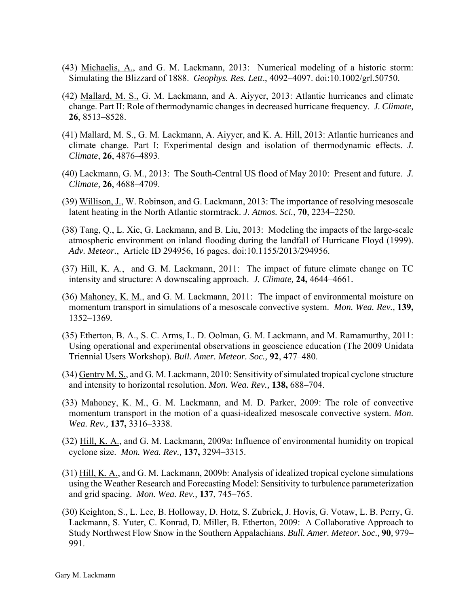- (43) Michaelis, A., and G. M. Lackmann, 2013: Numerical modeling of a historic storm: Simulating the Blizzard of 1888. *Geophys. Res. Lett*., 4092–4097. doi:10.1002/grl.50750.
- (42) Mallard, M. S., G. M. Lackmann, and A. Aiyyer, 2013: Atlantic hurricanes and climate change. Part II: Role of thermodynamic changes in decreased hurricane frequency. *J. Climate,* **26**, 8513–8528.
- (41) Mallard, M. S., G. M. Lackmann, A. Aiyyer, and K. A. Hill, 2013: Atlantic hurricanes and climate change. Part I: Experimental design and isolation of thermodynamic effects. *J. Climate*, **26**, 4876–4893.
- (40) Lackmann, G. M., 2013: The South-Central US flood of May 2010: Present and future. *J. Climate,* **26**, 4688–4709.
- (39) Willison, J., W. Robinson, and G. Lackmann, 2013: The importance of resolving mesoscale latent heating in the North Atlantic stormtrack. *J. Atmos. Sci.*, **70**, 2234–2250.
- (38) Tang, Q., L. Xie, G. Lackmann, and B. Liu, 2013: Modeling the impacts of the large-scale atmospheric environment on inland flooding during the landfall of Hurricane Floyd (1999). *Adv. Meteor.*, Article ID 294956, 16 pages. doi:10.1155/2013/294956.
- (37) Hill, K. A., and G. M. Lackmann, 2011: The impact of future climate change on TC intensity and structure: A downscaling approach. *J. Climate,* **24,** 4644–4661*.*
- (36) Mahoney, K. M., and G. M. Lackmann, 2011: The impact of environmental moisture on momentum transport in simulations of a mesoscale convective system. *Mon. Wea. Rev.,* **139,** 1352–1369*.*
- (35) Etherton, B. A., S. C. Arms, L. D. Oolman, G. M. Lackmann, and M. Ramamurthy, 2011: Using operational and experimental observations in geoscience education (The 2009 Unidata Triennial Users Workshop)*. Bull. Amer. Meteor. Soc.,* **92**, 477–480.
- (34) Gentry M. S., and G. M. Lackmann, 2010: Sensitivity of simulated tropical cyclone structure and intensity to horizontal resolution. *Mon. Wea. Rev.,* **138,** 688–704.
- (33) Mahoney, K. M., G. M. Lackmann, and M. D. Parker, 2009: The role of convective momentum transport in the motion of a quasi-idealized mesoscale convective system. *Mon. Wea. Rev.,* **137,** 3316–3338*.*
- (32) Hill, K. A., and G. M. Lackmann, 2009a: Influence of environmental humidity on tropical cyclone size. *Mon. Wea. Rev.,* **137,** 3294–3315.
- (31) Hill, K. A., and G. M. Lackmann, 2009b: Analysis of idealized tropical cyclone simulations using the Weather Research and Forecasting Model: Sensitivity to turbulence parameterization and grid spacing. *Mon. Wea. Rev.,* **137**, 745–765.
- (30) Keighton, S., L. Lee, B. Holloway, D. Hotz, S. Zubrick, J. Hovis, G. Votaw, L. B. Perry, G. Lackmann, S. Yuter, C. Konrad, D. Miller, B. Etherton, 2009: A Collaborative Approach to Study Northwest Flow Snow in the Southern Appalachians. *Bull. Amer. Meteor. Soc.,* **90***,* 979– 991.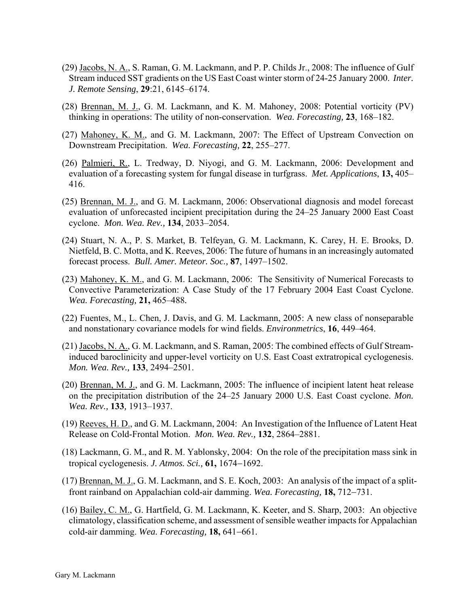- (29) Jacobs, N. A., S. Raman, G. M. Lackmann, and P. P. Childs Jr., 2008: The influence of Gulf Stream induced SST gradients on the US East Coast winter storm of 24-25 January 2000. *Inter. J. Remote Sensing*, **29**:21, 6145–6174.
- (28) Brennan, M. J., G. M. Lackmann, and K. M. Mahoney, 2008: Potential vorticity (PV) thinking in operations: The utility of non-conservation. *Wea. Forecasting,* **23**, 168–182.
- (27) Mahoney, K. M., and G. M. Lackmann, 2007: The Effect of Upstream Convection on Downstream Precipitation. *Wea. Forecasting,* **22**, 255–277.
- (26) Palmieri, R., L. Tredway, D. Niyogi, and G. M. Lackmann, 2006: Development and evaluation of a forecasting system for fungal disease in turfgrass. *Met. Applications*, **13,** 405– 416.
- (25) Brennan, M. J., and G. M. Lackmann, 2006: Observational diagnosis and model forecast evaluation of unforecasted incipient precipitation during the 24–25 January 2000 East Coast cyclone. *Mon. Wea. Rev.,* **134**, 2033–2054.
- (24) Stuart, N. A., P. S. Market, B. Telfeyan, G. M. Lackmann, K. Carey, H. E. Brooks, D. Nietfeld, B. C. Motta, and K. Reeves, 2006: The future of humans in an increasingly automated forecast process. *Bull. Amer. Meteor. Soc.,* **87**, 1497–1502.
- (23) Mahoney, K. M., and G. M. Lackmann, 2006: The Sensitivity of Numerical Forecasts to Convective Parameterization: A Case Study of the 17 February 2004 East Coast Cyclone. *Wea. Forecasting,* **21,** 465–488*.*
- (22) Fuentes, M., L. Chen, J. Davis, and G. M. Lackmann, 2005: A new class of nonseparable and nonstationary covariance models for wind fields. *Environmetrics*, **16**, 449–464.
- (21) Jacobs, N. A., G. M. Lackmann, and S. Raman, 2005: The combined effects of Gulf Streaminduced baroclinicity and upper-level vorticity on U.S. East Coast extratropical cyclogenesis. *Mon. Wea. Rev.,* **133**, 2494–2501.
- (20) Brennan, M. J., and G. M. Lackmann, 2005: The influence of incipient latent heat release on the precipitation distribution of the 24–25 January 2000 U.S. East Coast cyclone. *Mon. Wea. Rev.,* **133***,* 1913–1937.
- (19) Reeves, H. D., and G. M. Lackmann, 2004: An Investigation of the Influence of Latent Heat Release on Cold-Frontal Motion. *Mon. Wea. Rev.,* **132**, 2864–2881.
- (18) Lackmann, G. M., and R. M. Yablonsky, 2004: On the role of the precipitation mass sink in tropical cyclogenesis. *J. Atmos. Sci.*, **61**, 1674–1692.
- (17) Brennan, M. J., G. M. Lackmann, and S. E. Koch, 2003: An analysis of the impact of a splitfront rainband on Appalachian cold-air damming. *Wea. Forecasting*, **18,** 712–731.
- (16) Bailey, C. M., G. Hartfield, G. M. Lackmann, K. Keeter, and S. Sharp, 2003: An objective climatology, classification scheme, and assessment of sensible weather impacts for Appalachian cold-air damming. *Wea. Forecasting*, **18,** 641–661.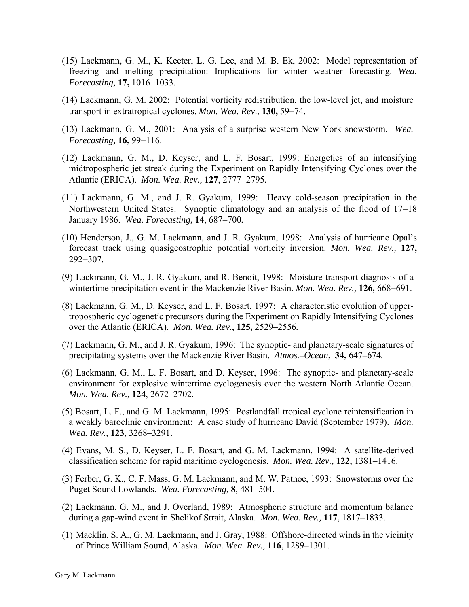- (15) Lackmann, G. M., K. Keeter, L. G. Lee, and M. B. Ek, 2002: Model representation of freezing and melting precipitation: Implications for winter weather forecasting. *Wea. Forecasting,* 17, 1016–1033.
- (14) Lackmann, G. M. 2002: Potential vorticity redistribution, the low-level jet, and moisture transport in extratropical cyclones. *Mon. Wea. Rev.*, 130, 59–74.
- (13) Lackmann, G. M., 2001: Analysis of a surprise western New York snowstorm. *Wea. Forecasting,* **16,** 99–116.
- (12) Lackmann, G. M., D. Keyser, and L. F. Bosart, 1999: Energetics of an intensifying midtropospheric jet streak during the Experiment on Rapidly Intensifying Cyclones over the Atlantic (ERICA). *Mon. Wea. Rev.*, 127, 2777-2795.
- (11) Lackmann, G. M., and J. R. Gyakum, 1999: Heavy cold-season precipitation in the Northwestern United States: Synoptic climatology and an analysis of the flood of  $17-18$ *January* 1986. *Wea. Forecasting*, **14**, 687–700.
- (10) Henderson, J., G. M. Lackmann, and J. R. Gyakum, 1998: Analysis of hurricane Opal's forecast track using quasigeostrophic potential vorticity inversion. *Mon. Wea. Rev.,* **127,**  292307*.*
- (9) Lackmann, G. M., J. R. Gyakum, and R. Benoit, 1998: Moisture transport diagnosis of a wintertime precipitation event in the Mackenzie River Basin. *Mon. Wea. Rev.*, 126, 668–691.
- (8) Lackmann, G. M., D. Keyser, and L. F. Bosart, 1997: A characteristic evolution of uppertropospheric cyclogenetic precursors during the Experiment on Rapidly Intensifying Cyclones over the Atlantic (ERICA). *Mon. Wea. Rev.*, **125,** 2529*–*2556*.*
- (7) Lackmann, G. M., and J. R. Gyakum, 1996: The synoptic- and planetary-scale signatures of precipitating systems over the Mackenzie River Basin. *Atmos.–Ocean*, **34,** 647*–*674*.*
- (6) Lackmann, G. M., L. F. Bosart, and D. Keyser, 1996: The synoptic- and planetary-scale environment for explosive wintertime cyclogenesis over the western North Atlantic Ocean. *Mon. Wea. Rev.,* **124**, 2672*–*2702*.*
- (5) Bosart, L. F., and G. M. Lackmann, 1995: Postlandfall tropical cyclone reintensification in a weakly baroclinic environment: A case study of hurricane David (September 1979). *Mon. Wea. Rev.,* **123**, 3268*–*3291.
- (4) Evans, M. S., D. Keyser, L. F. Bosart, and G. M. Lackmann, 1994: A satellite-derived classification scheme for rapid maritime cyclogenesis. *Mon. Wea. Rev.,* **122**, 1381*–*1416.
- (3) Ferber, G. K., C. F. Mass, G. M. Lackmann, and M. W. Patnoe, 1993: Snowstorms over the Puget Sound Lowlands. *Wea. Forecasting,* **8**, 481*–*504.
- (2) Lackmann, G. M., and J. Overland, 1989: Atmospheric structure and momentum balance during a gap-wind event in Shelikof Strait, Alaska. *Mon. Wea. Rev.,* **117**, 1817*–*1833.
- (1) Macklin, S. A., G. M. Lackmann, and J. Gray, 1988: Offshore-directed winds in the vicinity of Prince William Sound, Alaska. *Mon. Wea. Rev.,* **116**, 1289*–*1301.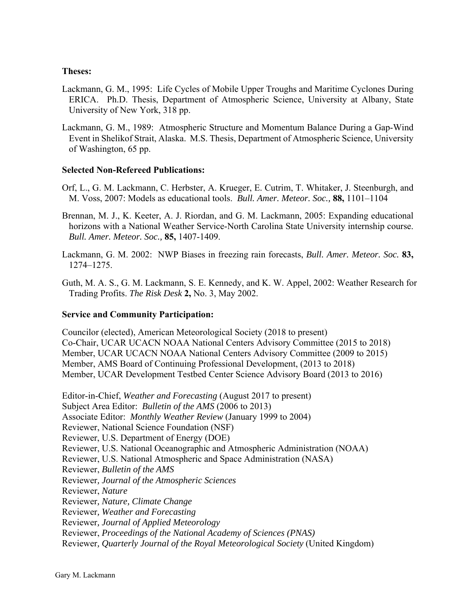## **Theses:**

- Lackmann, G. M., 1995: Life Cycles of Mobile Upper Troughs and Maritime Cyclones During ERICA. Ph.D. Thesis, Department of Atmospheric Science, University at Albany, State University of New York, 318 pp.
- Lackmann, G. M., 1989: Atmospheric Structure and Momentum Balance During a Gap-Wind Event in Shelikof Strait, Alaska. M.S. Thesis, Department of Atmospheric Science, University of Washington, 65 pp.

## **Selected Non-Refereed Publications:**

- Orf, L., G. M. Lackmann, C. Herbster, A. Krueger, E. Cutrim, T. Whitaker, J. Steenburgh, and M. Voss, 2007: Models as educational tools. *Bull. Amer. Meteor. Soc.,* **88,** 1101–1104
- Brennan, M. J., K. Keeter, A. J. Riordan, and G. M. Lackmann, 2005: Expanding educational horizons with a National Weather Service-North Carolina State University internship course. *Bull. Amer. Meteor. Soc.,* **85,** 1407-1409.
- Lackmann, G. M. 2002: NWP Biases in freezing rain forecasts, *Bull. Amer. Meteor. Soc.* **83,** 1274–1275.
- Guth, M. A. S., G. M. Lackmann, S. E. Kennedy, and K. W. Appel, 2002: Weather Research for Trading Profits. *The Risk Desk* **2,** No. 3, May 2002.

# **Service and Community Participation:**

Councilor (elected), American Meteorological Society (2018 to present) Co-Chair, UCAR UCACN NOAA National Centers Advisory Committee (2015 to 2018) Member, UCAR UCACN NOAA National Centers Advisory Committee (2009 to 2015) Member, AMS Board of Continuing Professional Development, (2013 to 2018) Member, UCAR Development Testbed Center Science Advisory Board (2013 to 2016)

Editor-in-Chief, *Weather and Forecasting* (August 2017 to present) Subject Area Editor: *Bulletin of the AMS* (2006 to 2013) Associate Editor: *Monthly Weather Review* (January 1999 to 2004) Reviewer, National Science Foundation (NSF) Reviewer, U.S. Department of Energy (DOE) Reviewer, U.S. National Oceanographic and Atmospheric Administration (NOAA) Reviewer, U.S. National Atmospheric and Space Administration (NASA) Reviewer, *Bulletin of the AMS*  Reviewer*, Journal of the Atmospheric Sciences*  Reviewer, *Nature* Reviewer*, Nature, Climate Change*  Reviewer*, Weather and Forecasting*  Reviewer*, Journal of Applied Meteorology*  Reviewer, *Proceedings of the National Academy of Sciences (PNAS)* Reviewer*, Quarterly Journal of the Royal Meteorological Society* (United Kingdom)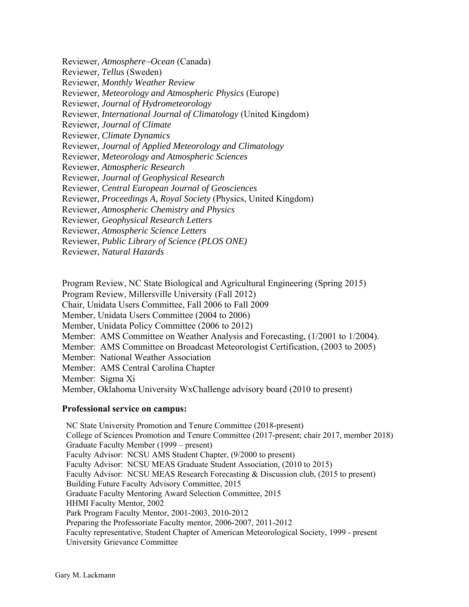Reviewer*, Tellus* (Sweden) Reviewer*, Monthly Weather Review*  Reviewer*, Meteorology and Atmospheric Physics* (Europe) Reviewer*, Journal of Hydrometeorology*  Reviewer*, International Journal of Climatology* (United Kingdom) Reviewer*, Journal of Climate*  Reviewer, *Climate Dynamics*  Reviewer*, Journal of Applied Meteorology and Climatology*  Reviewer*, Meteorology and Atmospheric Sciences*  Reviewer*, Atmospheric Research*  Reviewer*, Journal of Geophysical Research*  Reviewer*, Central European Journal of Geosciences*  Reviewer*, Proceedings A, Royal Society* (Physics, United Kingdom) Reviewer*, Atmospheric Chemistry and Physics*  Reviewer*, Geophysical Research Letters*  Reviewer, *Atmospheric Science Letters*  Reviewer, *Public Library of Science (PLOS ONE)* 

Reviewer, *Natural Hazards* 

Program Review, NC State Biological and Agricultural Engineering (Spring 2015)

Program Review, Millersville University (Fall 2012)

Chair, Unidata Users Committee, Fall 2006 to Fall 2009

Member, Unidata Users Committee (2004 to 2006)

Member, Unidata Policy Committee (2006 to 2012)

Member: AMS Committee on Weather Analysis and Forecasting, (1/2001 to 1/2004).

Member: AMS Committee on Broadcast Meteorologist Certification, (2003 to 2005)

Member: National Weather Association

Reviewer*, AtmosphereOcean* (Canada)

Member: AMS Central Carolina Chapter

Member: Sigma Xi

Member, Oklahoma University WxChallenge advisory board (2010 to present)

#### **Professional service on campus:**

NC State University Promotion and Tenure Committee (2018-present) College of Sciences Promotion and Tenure Committee (2017-present; chair 2017, member 2018) Graduate Faculty Member (1999 – present) Faculty Advisor: NCSU AMS Student Chapter, (9/2000 to present) Faculty Advisor: NCSU MEAS Graduate Student Association, (2010 to 2015) Faculty Advisor: NCSU MEAS Research Forecasting & Discussion club, (2015 to present) Building Future Faculty Advisory Committee, 2015 Graduate Faculty Mentoring Award Selection Committee, 2015 HHMI Faculty Mentor, 2002 Park Program Faculty Mentor, 2001-2003, 2010-2012 Preparing the Professoriate Faculty mentor, 2006-2007, 2011-2012 Faculty representative, Student Chapter of American Meteorological Society, 1999 - present University Grievance Committee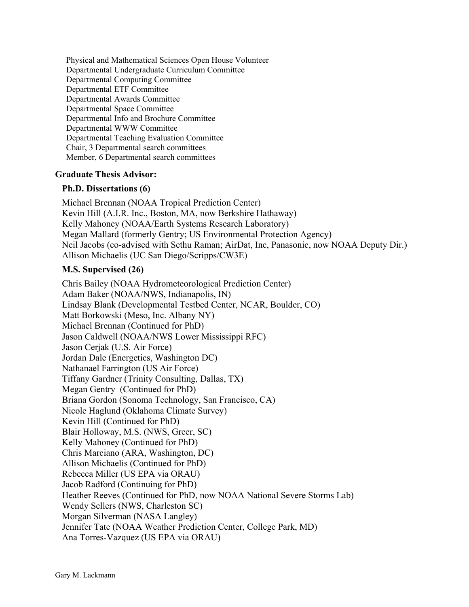Physical and Mathematical Sciences Open House Volunteer Departmental Undergraduate Curriculum Committee Departmental Computing Committee Departmental ETF Committee Departmental Awards Committee Departmental Space Committee Departmental Info and Brochure Committee Departmental WWW Committee Departmental Teaching Evaluation Committee Chair, 3 Departmental search committees Member, 6 Departmental search committees

# **Graduate Thesis Advisor:**

## **Ph.D. Dissertations (6)**

Michael Brennan (NOAA Tropical Prediction Center) Kevin Hill (A.I.R. Inc., Boston, MA, now Berkshire Hathaway) Kelly Mahoney (NOAA/Earth Systems Research Laboratory) Megan Mallard (formerly Gentry; US Environmental Protection Agency) Neil Jacobs (co-advised with Sethu Raman; AirDat, Inc, Panasonic, now NOAA Deputy Dir.) Allison Michaelis (UC San Diego/Scripps/CW3E)

# **M.S. Supervised (26)**

Chris Bailey (NOAA Hydrometeorological Prediction Center) Adam Baker (NOAA/NWS, Indianapolis, IN) Lindsay Blank (Developmental Testbed Center, NCAR, Boulder, CO) Matt Borkowski (Meso, Inc. Albany NY) Michael Brennan (Continued for PhD) Jason Caldwell (NOAA/NWS Lower Mississippi RFC) Jason Cerjak (U.S. Air Force) Jordan Dale (Energetics, Washington DC) Nathanael Farrington (US Air Force) Tiffany Gardner (Trinity Consulting, Dallas, TX) Megan Gentry (Continued for PhD) Briana Gordon (Sonoma Technology, San Francisco, CA) Nicole Haglund (Oklahoma Climate Survey) Kevin Hill (Continued for PhD) Blair Holloway, M.S. (NWS, Greer, SC) Kelly Mahoney (Continued for PhD) Chris Marciano (ARA, Washington, DC) Allison Michaelis (Continued for PhD) Rebecca Miller (US EPA via ORAU) Jacob Radford (Continuing for PhD) Heather Reeves (Continued for PhD, now NOAA National Severe Storms Lab) Wendy Sellers (NWS, Charleston SC) Morgan Silverman (NASA Langley) Jennifer Tate (NOAA Weather Prediction Center, College Park, MD) Ana Torres-Vazquez (US EPA via ORAU)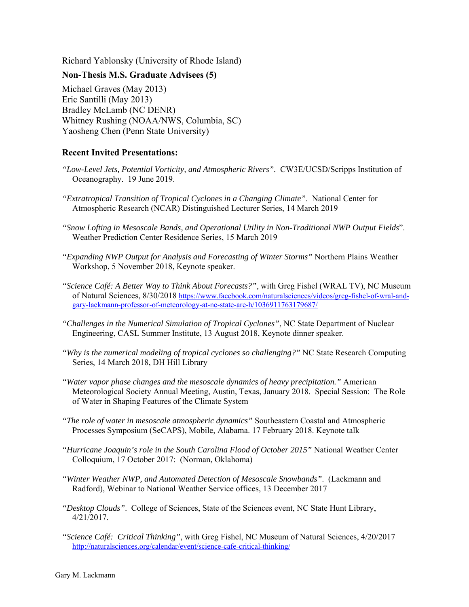Richard Yablonsky (University of Rhode Island)

# **Non-Thesis M.S. Graduate Advisees (5)**

Michael Graves (May 2013) Eric Santilli (May 2013) Bradley McLamb (NC DENR) Whitney Rushing (NOAA/NWS, Columbia, SC) Yaosheng Chen (Penn State University)

# **Recent Invited Presentations:**

- *"Low-Level Jets, Potential Vorticity, and Atmospheric Rivers".* CW3E/UCSD/Scripps Institution of Oceanography. 19 June 2019.
- *"Extratropical Transition of Tropical Cyclones in a Changing Climate"*. National Center for Atmospheric Research (NCAR) Distinguished Lecturer Series, 14 March 2019
- *"Snow Lofting in Mesoscale Bands, and Operational Utility in Non-Traditional NWP Output Fields*". Weather Prediction Center Residence Series, 15 March 2019
- *"Expanding NWP Output for Analysis and Forecasting of Winter Storms"* Northern Plains Weather Workshop, 5 November 2018, Keynote speaker.
- *"Science Café: A Better Way to Think About Forecasts?"*, with Greg Fishel (WRAL TV), NC Museum of Natural Sciences, 8/30/2018 https://www.facebook.com/naturalsciences/videos/greg-fishel-of-wral-andgary-lackmann-professor-of-meteorology-at-nc-state-are-h/1036911763179687/
- *"Challenges in the Numerical Simulation of Tropical Cyclones"*, NC State Department of Nuclear Engineering, CASL Summer Institute, 13 August 2018, Keynote dinner speaker.
- *"Why is the numerical modeling of tropical cyclones so challenging?"* NC State Research Computing Series, 14 March 2018, DH Hill Library
- *"Water vapor phase changes and the mesoscale dynamics of heavy precipitation."* American Meteorological Society Annual Meeting, Austin, Texas, January 2018. Special Session: The Role of Water in Shaping Features of the Climate System
- *"The role of water in mesoscale atmospheric dynamics"* Southeastern Coastal and Atmospheric Processes Symposium (SeCAPS), Mobile, Alabama. 17 February 2018. Keynote talk
- *"Hurricane Joaquin's role in the South Carolina Flood of October 2015"* National Weather Center Colloquium, 17 October 2017: (Norman, Oklahoma)
- *"Winter Weather NWP, and Automated Detection of Mesoscale Snowbands"*. (Lackmann and Radford), Webinar to National Weather Service offices, 13 December 2017
- *"Desktop Clouds"*. College of Sciences, State of the Sciences event, NC State Hunt Library, 4/21/2017.
- *"Science Café: Critical Thinking"*, with Greg Fishel, NC Museum of Natural Sciences, 4/20/2017 http://naturalsciences.org/calendar/event/science-cafe-critical-thinking/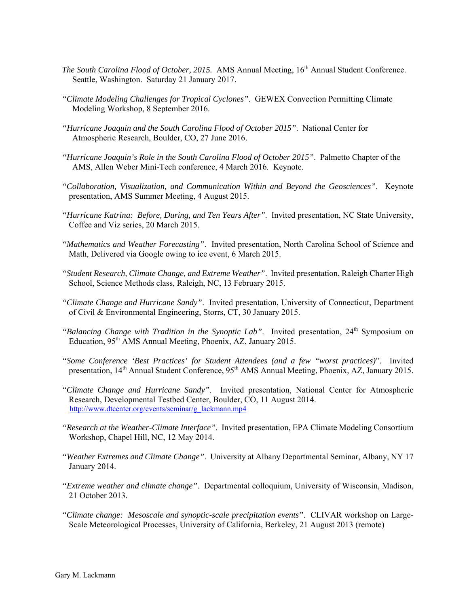- *The South Carolina Flood of October, 2015.* AMS Annual Meeting, 16<sup>th</sup> Annual Student Conference. Seattle, Washington. Saturday 21 January 2017.
- *"Climate Modeling Challenges for Tropical Cyclones"*. GEWEX Convection Permitting Climate Modeling Workshop, 8 September 2016.
- *"Hurricane Joaquin and the South Carolina Flood of October 2015"*. National Center for Atmospheric Research, Boulder, CO, 27 June 2016.
- *"Hurricane Joaquin's Role in the South Carolina Flood of October 2015"*. Palmetto Chapter of the AMS, Allen Weber Mini-Tech conference, 4 March 2016. Keynote.
- *"Collaboration, Visualization, and Communication Within and Beyond the Geosciences"*. Keynote presentation, AMS Summer Meeting, 4 August 2015.
- *"Hurricane Katrina: Before, During, and Ten Years After"*. Invited presentation, NC State University, Coffee and Viz series, 20 March 2015.
- *"Mathematics and Weather Forecasting"*. Invited presentation, North Carolina School of Science and Math, Delivered via Google owing to ice event, 6 March 2015.
- *"Student Research, Climate Change, and Extreme Weather"*. Invited presentation, Raleigh Charter High School, Science Methods class, Raleigh, NC, 13 February 2015.
- *"Climate Change and Hurricane Sandy"*. Invited presentation, University of Connecticut, Department of Civil & Environmental Engineering, Storrs, CT, 30 January 2015.
- "Balancing Change with Tradition in the Synoptic Lab". Invited presentation, 24<sup>th</sup> Symposium on Education, 95<sup>th</sup> AMS Annual Meeting, Phoenix, AZ, January 2015.
- *"Some Conference 'Best Practices' for Student Attendees (and a few "worst practices)*". Invited presentation, 14<sup>th</sup> Annual Student Conference, 95<sup>th</sup> AMS Annual Meeting, Phoenix, AZ, January 2015.
- *"Climate Change and Hurricane Sandy"*. Invited presentation, National Center for Atmospheric Research, Developmental Testbed Center, Boulder, CO, 11 August 2014. http://www.dtcenter.org/events/seminar/g\_lackmann.mp4
- *"Research at the Weather-Climate Interface"*. Invited presentation, EPA Climate Modeling Consortium Workshop, Chapel Hill, NC, 12 May 2014.
- *"Weather Extremes and Climate Change"*. University at Albany Departmental Seminar, Albany, NY 17 January 2014.
- *"Extreme weather and climate change"*. Departmental colloquium, University of Wisconsin, Madison, 21 October 2013.
- *"Climate change: Mesoscale and synoptic-scale precipitation events"*. CLIVAR workshop on Large-Scale Meteorological Processes, University of California, Berkeley, 21 August 2013 (remote)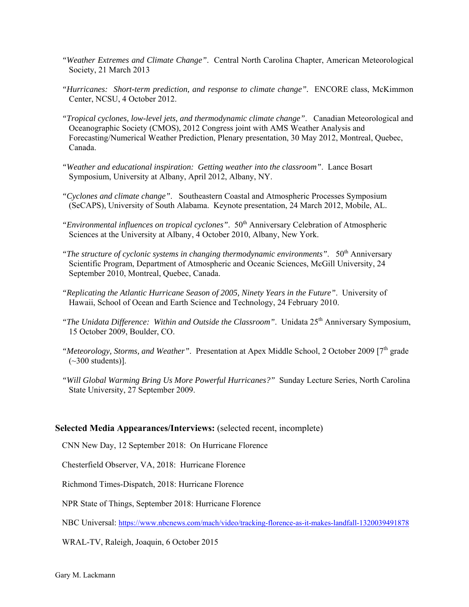- *"Weather Extremes and Climate Change"*. Central North Carolina Chapter, American Meteorological Society, 21 March 2013
- *"Hurricanes: Short-term prediction, and response to climate change".* ENCORE class, McKimmon Center, NCSU, 4 October 2012.
- *"Tropical cyclones, low-level jets, and thermodynamic climate change"*. Canadian Meteorological and Oceanographic Society (CMOS), 2012 Congress joint with AMS Weather Analysis and Forecasting/Numerical Weather Prediction, Plenary presentation, 30 May 2012, Montreal, Quebec, Canada.
- *"Weather and educational inspiration: Getting weather into the classroom"*. Lance Bosart Symposium, University at Albany, April 2012, Albany, NY.
- *"Cyclones and climate change"*. Southeastern Coastal and Atmospheric Processes Symposium (SeCAPS), University of South Alabama. Keynote presentation, 24 March 2012, Mobile, AL.
- *"Environmental influences on tropical cyclones".* 50<sup>th</sup> Anniversary Celebration of Atmospheric Sciences at the University at Albany, 4 October 2010, Albany, New York.
- *"The structure of cyclonic systems in changing thermodynamic environments".* 50<sup>th</sup> Anniversary Scientific Program, Department of Atmospheric and Oceanic Sciences, McGill University, 24 September 2010, Montreal, Quebec, Canada.
- *"Replicating the Atlantic Hurricane Season of 2005, Ninety Years in the Future"*. University of Hawaii, School of Ocean and Earth Science and Technology, 24 February 2010.
- *"The Unidata Difference: Within and Outside the Classroom". Unidata 25<sup>th</sup> Anniversary Symposium,* 15 October 2009, Boulder, CO.
- *"Meteorology, Storms, and Weather".* Presentation at Apex Middle School, 2 October 2009 [7<sup>th</sup> grade  $(-300$  students)].
- *"Will Global Warming Bring Us More Powerful Hurricanes?"* Sunday Lecture Series, North Carolina State University, 27 September 2009.

#### **Selected Media Appearances/Interviews:** (selected recent, incomplete)

CNN New Day, 12 September 2018: On Hurricane Florence

Chesterfield Observer, VA, 2018: Hurricane Florence

Richmond Times-Dispatch, 2018: Hurricane Florence

NPR State of Things, September 2018: Hurricane Florence

NBC Universal: https://www.nbcnews.com/mach/video/tracking-florence-as-it-makes-landfall-1320039491878

WRAL-TV, Raleigh, Joaquin, 6 October 2015